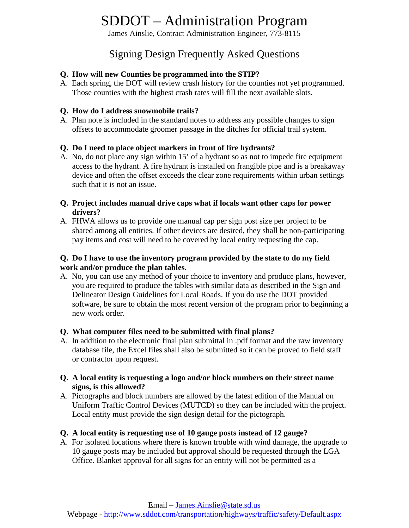James Ainslie, Contract Administration Engineer, 773-8115

# Signing Design Frequently Asked Questions

### **Q. How will new Counties be programmed into the STIP?**

A. Each spring, the DOT will review crash history for the counties not yet programmed. Those counties with the highest crash rates will fill the next available slots.

#### **Q. How do I address snowmobile trails?**

A. Plan note is included in the standard notes to address any possible changes to sign offsets to accommodate groomer passage in the ditches for official trail system.

#### **Q. Do I need to place object markers in front of fire hydrants?**

A. No, do not place any sign within 15' of a hydrant so as not to impede fire equipment access to the hydrant. A fire hydrant is installed on frangible pipe and is a breakaway device and often the offset exceeds the clear zone requirements within urban settings such that it is not an issue.

#### **Q. Project includes manual drive caps what if locals want other caps for power drivers?**

A. FHWA allows us to provide one manual cap per sign post size per project to be shared among all entities. If other devices are desired, they shall be non-participating pay items and cost will need to be covered by local entity requesting the cap.

#### **Q. Do I have to use the inventory program provided by the state to do my field work and/or produce the plan tables.**

A. No, you can use any method of your choice to inventory and produce plans, however, you are required to produce the tables with similar data as described in the Sign and Delineator Design Guidelines for Local Roads. If you do use the DOT provided software, be sure to obtain the most recent version of the program prior to beginning a new work order.

#### **Q. What computer files need to be submitted with final plans?**

A. In addition to the electronic final plan submittal in .pdf format and the raw inventory database file, the Excel files shall also be submitted so it can be proved to field staff or contractor upon request.

#### **Q. A local entity is requesting a logo and/or block numbers on their street name signs, is this allowed?**

A. Pictographs and block numbers are allowed by the latest edition of the Manual on Uniform Traffic Control Devices (MUTCD) so they can be included with the project. Local entity must provide the sign design detail for the pictograph.

#### **Q. A local entity is requesting use of 10 gauge posts instead of 12 gauge?**

A. For isolated locations where there is known trouble with wind damage, the upgrade to 10 gauge posts may be included but approval should be requested through the LGA Office. Blanket approval for all signs for an entity will not be permitted as a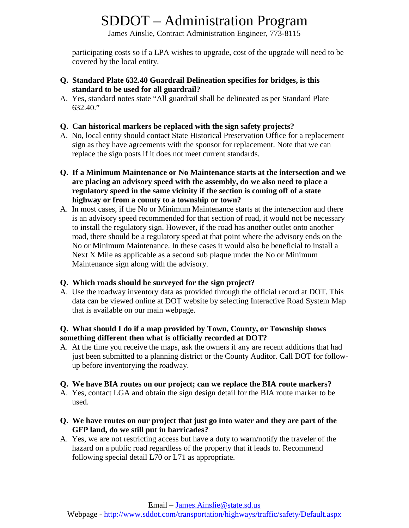James Ainslie, Contract Administration Engineer, 773-8115

participating costs so if a LPA wishes to upgrade, cost of the upgrade will need to be covered by the local entity.

- **Q. Standard Plate 632.40 Guardrail Delineation specifies for bridges, is this standard to be used for all guardrail?**
- A. Yes, standard notes state "All guardrail shall be delineated as per Standard Plate 632.40."

### **Q. Can historical markers be replaced with the sign safety projects?**

- A. No, local entity should contact State Historical Preservation Office for a replacement sign as they have agreements with the sponsor for replacement. Note that we can replace the sign posts if it does not meet current standards.
- **Q. If a Minimum Maintenance or No Maintenance starts at the intersection and we are placing an advisory speed with the assembly, do we also need to place a regulatory speed in the same vicinity if the section is coming off of a state highway or from a county to a township or town?**
- A. In most cases, if the No or Minimum Maintenance starts at the intersection and there is an advisory speed recommended for that section of road, it would not be necessary to install the regulatory sign. However, if the road has another outlet onto another road, there should be a regulatory speed at that point where the advisory ends on the No or Minimum Maintenance. In these cases it would also be beneficial to install a Next X Mile as applicable as a second sub plaque under the No or Minimum Maintenance sign along with the advisory.

### **Q. Which roads should be surveyed for the sign project?**

A. Use the roadway inventory data as provided through the official record at DOT. This data can be viewed online at DOT website by selecting Interactive Road System Map that is available on our main webpage.

#### **Q. What should I do if a map provided by Town, County, or Township shows something different then what is officially recorded at DOT?**

A. At the time you receive the maps, ask the owners if any are recent additions that had just been submitted to a planning district or the County Auditor. Call DOT for followup before inventorying the roadway.

#### **Q. We have BIA routes on our project; can we replace the BIA route markers?**

- A. Yes, contact LGA and obtain the sign design detail for the BIA route marker to be used.
- **Q. We have routes on our project that just go into water and they are part of the GFP land, do we still put in barricades?**
- A. Yes, we are not restricting access but have a duty to warn/notify the traveler of the hazard on a public road regardless of the property that it leads to. Recommend following special detail L70 or L71 as appropriate.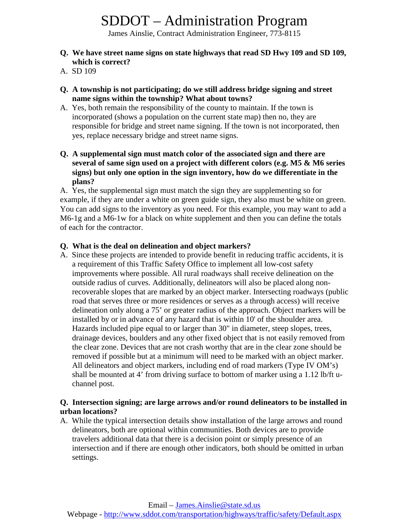James Ainslie, Contract Administration Engineer, 773-8115

- **Q. We have street name signs on state highways that read SD Hwy 109 and SD 109, which is correct?**
- A. SD 109
- **Q. A township is not participating; do we still address bridge signing and street name signs within the township? What about towns?**
- A. Yes, both remain the responsibility of the county to maintain. If the town is incorporated (shows a population on the current state map) then no, they are responsible for bridge and street name signing. If the town is not incorporated, then yes, replace necessary bridge and street name signs.
- **Q. A supplemental sign must match color of the associated sign and there are several of same sign used on a project with different colors (e.g. M5 & M6 series signs) but only one option in the sign inventory, how do we differentiate in the plans?**

A. Yes, the supplemental sign must match the sign they are supplementing so for example, if they are under a white on green guide sign, they also must be white on green. You can add signs to the inventory as you need. For this example, you may want to add a M6-1g and a M6-1w for a black on white supplement and then you can define the totals of each for the contractor.

#### **Q. What is the deal on delineation and object markers?**

A. Since these projects are intended to provide benefit in reducing traffic accidents, it is a requirement of this Traffic Safety Office to implement all low-cost safety improvements where possible. All rural roadways shall receive delineation on the outside radius of curves. Additionally, delineators will also be placed along nonrecoverable slopes that are marked by an object marker. Intersecting roadways (public road that serves three or more residences or serves as a through access) will receive delineation only along a 75' or greater radius of the approach. Object markers will be installed by or in advance of any hazard that is within 10' of the shoulder area. Hazards included pipe equal to or larger than 30" in diameter, steep slopes, trees, drainage devices, boulders and any other fixed object that is not easily removed from the clear zone. Devices that are not crash worthy that are in the clear zone should be removed if possible but at a minimum will need to be marked with an object marker. All delineators and object markers, including end of road markers (Type IV OM's) shall be mounted at 4' from driving surface to bottom of marker using a 1.12 lb/ft uchannel post.

#### **Q. Intersection signing; are large arrows and/or round delineators to be installed in urban locations?**

A. While the typical intersection details show installation of the large arrows and round delineators, both are optional within communities. Both devices are to provide travelers additional data that there is a decision point or simply presence of an intersection and if there are enough other indicators, both should be omitted in urban settings.